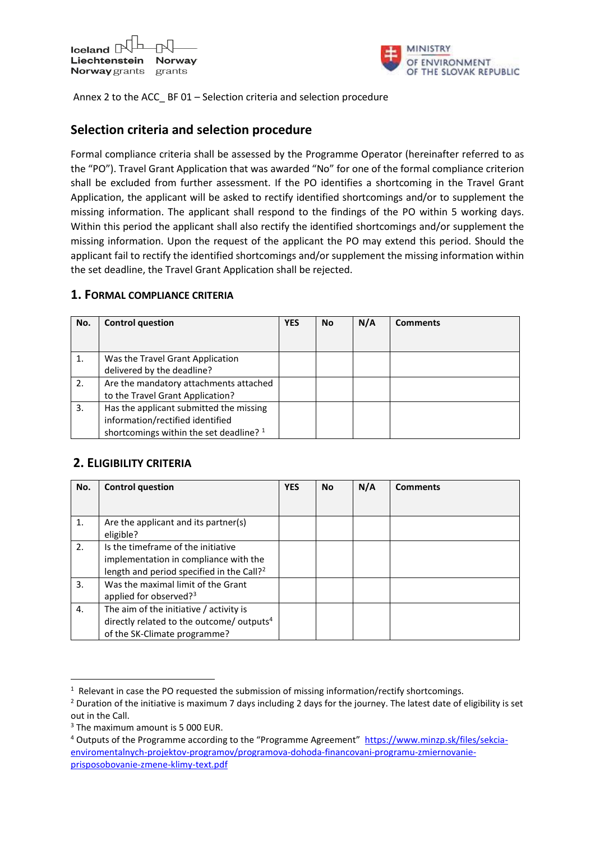

Annex 2 to the ACC\_ BF 01 – Selection criteria and selection procedure

## **Selection criteria and selection procedure**

Formal compliance criteria shall be assessed by the Programme Operator (hereinafter referred to as the "PO"). Travel Grant Application that was awarded "No" for one of the formal compliance criterion shall be excluded from further assessment. If the PO identifies a shortcoming in the Travel Grant Application, the applicant will be asked to rectify identified shortcomings and/or to supplement the missing information. The applicant shall respond to the findings of the PO within 5 working days. Within this period the applicant shall also rectify the identified shortcomings and/or supplement the missing information. Upon the request of the applicant the PO may extend this period. Should the applicant fail to rectify the identified shortcomings and/or supplement the missing information within the set deadline, the Travel Grant Application shall be rejected.

## **1. FORMAL COMPLIANCE CRITERIA**

| No. | <b>Control question</b>                            | <b>YES</b> | <b>No</b> | N/A | <b>Comments</b> |
|-----|----------------------------------------------------|------------|-----------|-----|-----------------|
|     |                                                    |            |           |     |                 |
| 1.  | Was the Travel Grant Application                   |            |           |     |                 |
|     | delivered by the deadline?                         |            |           |     |                 |
| 2.  | Are the mandatory attachments attached             |            |           |     |                 |
|     | to the Travel Grant Application?                   |            |           |     |                 |
| 3.  | Has the applicant submitted the missing            |            |           |     |                 |
|     | information/rectified identified                   |            |           |     |                 |
|     | shortcomings within the set deadline? <sup>1</sup> |            |           |     |                 |

## **2. ELIGIBILITY CRITERIA**

| No. | <b>Control question</b>                                                                                                              | <b>YES</b> | <b>No</b> | N/A | <b>Comments</b> |
|-----|--------------------------------------------------------------------------------------------------------------------------------------|------------|-----------|-----|-----------------|
|     |                                                                                                                                      |            |           |     |                 |
| 1.  | Are the applicant and its partner(s)<br>eligible?                                                                                    |            |           |     |                 |
| 2.  | Is the timeframe of the initiative<br>implementation in compliance with the<br>length and period specified in the Call? <sup>2</sup> |            |           |     |                 |
| 3.  | Was the maximal limit of the Grant<br>applied for observed? <sup>3</sup>                                                             |            |           |     |                 |
| 4.  | The aim of the initiative / activity is<br>directly related to the outcome/ outputs <sup>4</sup><br>of the SK-Climate programme?     |            |           |     |                 |

1

 $1$  Relevant in case the PO requested the submission of missing information/rectify shortcomings.

<sup>&</sup>lt;sup>2</sup> Duration of the initiative is maximum 7 days including 2 days for the journey. The latest date of eligibility is set out in the Call.

<sup>&</sup>lt;sup>3</sup> The maximum amount is 5 000 EUR.

<sup>&</sup>lt;sup>4</sup> Outputs of the Programme according to the "Programme Agreement" [https://www.minzp.sk/files/sekcia](https://www.minzp.sk/files/sekcia-enviromentalnych-projektov-programov/programova-dohoda-financovani-programu-zmiernovanie-prisposobovanie-zmene-klimy-text.pdf)[enviromentalnych-projektov-programov/programova-dohoda-financovani-programu-zmiernovanie](https://www.minzp.sk/files/sekcia-enviromentalnych-projektov-programov/programova-dohoda-financovani-programu-zmiernovanie-prisposobovanie-zmene-klimy-text.pdf)[prisposobovanie-zmene-klimy-text.pdf](https://www.minzp.sk/files/sekcia-enviromentalnych-projektov-programov/programova-dohoda-financovani-programu-zmiernovanie-prisposobovanie-zmene-klimy-text.pdf)